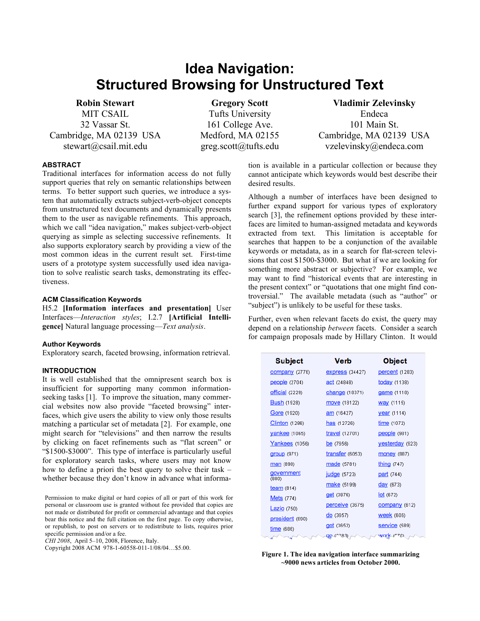# **Idea Navigation: Structured Browsing for Unstructured Text**

**Robin Stewart** MIT CSAIL 32 Vassar St. Cambridge, MA 02139 USA stewart@csail.mit.edu

**Gregory Scott** Tufts University

161 College Ave. Medford, MA 02155 greg.scott@tufts.edu

# **Vladimir Zelevinsky** Endeca 101 Main St. Cambridge, MA 02139 USA vzelevinsky@endeca.com

#### **ABSTRACT**

Traditional interfaces for information access do not fully support queries that rely on semantic relationships between terms. To better support such queries, we introduce a system that automatically extracts subject-verb-object concepts from unstructured text documents and dynamically presents them to the user as navigable refinements. This approach, which we call "idea navigation," makes subject-verb-object querying as simple as selecting successive refinements. It also supports exploratory search by providing a view of the most common ideas in the current result set. First-time users of a prototype system successfully used idea navigation to solve realistic search tasks, demonstrating its effectiveness.

#### **ACM Classification Keywords**

H5.2 **[Information interfaces and presentation]** User Interfaces—*Interaction styles*; I.2.7 **[Artificial Intelligence]** Natural language processing—*Text analysis*.

# **Author Keywords**

Exploratory search, faceted browsing, information retrieval.

# **INTRODUCTION**

It is well established that the omnipresent search box is insufficient for supporting many common informationseeking tasks [1]. To improve the situation, many commercial websites now also provide "faceted browsing" interfaces, which give users the ability to view only those results matching a particular set of metadata [2]. For example, one might search for "televisions" and then narrow the results by clicking on facet refinements such as "flat screen" or "\$1500-\$3000". This type of interface is particularly useful for exploratory search tasks, where users may not know how to define a priori the best query to solve their task – whether because they don't know in advance what informa-

Permission to make digital or hard copies of all or part of this work for personal or classroom use is granted without fee provided that copies are not made or distributed for profit or commercial advantage and that copies bear this notice and the full citation on the first page. To copy otherwise, or republish, to post on servers or to redistribute to lists, requires prior specific permission and/or a fee.

*CHI 2008*, April 5–10, 2008, Florence, Italy.

Copyright 2008 ACM 978-1-60558-011-1/08/04…\$5.00.

tion is available in a particular collection or because they cannot anticipate which keywords would best describe their desired results.

Although a number of interfaces have been designed to further expand support for various types of exploratory search [3], the refinement options provided by these interfaces are limited to human-assigned metadata and keywords extracted from text. This limitation is acceptable for searches that happen to be a conjunction of the available keywords or metadata, as in a search for flat-screen televisions that cost \$1500-\$3000. But what if we are looking for something more abstract or subjective? For example, we may want to find "historical events that are interesting in the present context" or "quotations that one might find controversial." The available metadata (such as "author" or "subject") is unlikely to be useful for these tasks.

Further, even when relevant facets do exist, the query may depend on a relationship *between* facets. Consider a search for campaign proposals made by Hillary Clinton. It would

| <b>Subject</b>             | Verb               | Object          |
|----------------------------|--------------------|-----------------|
| company (2776)             | express (34427)    | percent (1283)  |
| <u>people</u> (2704)       | <b>act</b> (24848) | today (1138)    |
| official (2229)            | change (18371)     | game (1118)     |
| <b>Bush</b> (1928)         | move (18122)       | way (1115)      |
| Gore (1920)                | am (16427)         | year (1114)     |
| Clinton (1286)             | has (12726)        | time(1072)      |
| <b>yankee</b> (1065)       | travel (12701)     | people (981)    |
| <b>Yankees</b> (1056)      | $be$ (7656)        | yesterday (923) |
| group (971)                | transfer (6053)    | money (887)     |
| man (890)                  | made (5781)        | thing (747)     |
| <u>government</u><br>(880) | judge (5723)       | part (744)      |
| team (814)                 | <u>make</u> (5199) | day(673)        |
| Mets (774)                 | get (3876)         | lot(672)        |
| Lazio (750)                | perceive (3675)    | company (612)   |
| president (690)            | do (3657) -        | $week$ (606)    |
| time (686)                 | got (3652)         | service (589)   |
|                            | $90^{(2283)}$      | work (FZD)      |

**Figure 1. The idea navigation interface summarizing ~9000 news articles from October 2000.**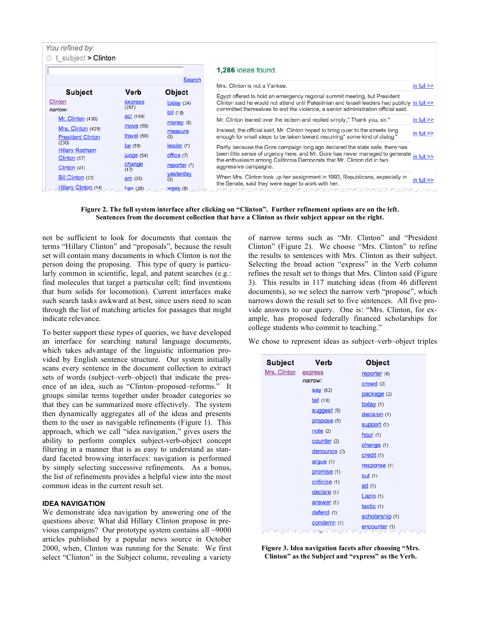# You refined by:

t subject > Clinton

|                                                |                  |                  | <b>1,286 ideas f</b>                     |
|------------------------------------------------|------------------|------------------|------------------------------------------|
|                                                |                  | <b>Search</b>    | Mrs. Clinton is no                       |
| <b>Subject</b>                                 | Verb             | <b>Object</b>    | Eavpt offered to h                       |
| Clinton                                        | express<br>(267) | today $(24)$     | Clinton said he w                        |
| narrow:                                        | act (189)        | $b$ ill (18)     | committed thems                          |
| Mr. Clinton (430)                              | move (59)        | money (8)        | Mr. Clinton leaned                       |
| Mrs. Clinton (429)<br><b>President Clinton</b> | travel (58)      | measure<br>(8)   | Instead, the officia<br>enough for small |
| (230)<br><b>Hillary Rodham</b>                 | be(55)           | leader $(7)$     | Partly because th                        |
| $Clinton$ (57)                                 | judge(54)        | office $(7)$     | been little sense<br>the enthusiasm a    |
| Clinton (41)                                   | change<br>(47)   | reporter (7)     | aggressive camp                          |
| Bill Clinton (23)                              | am(35)           | yesterday<br>(6) | When Mrs. Clinto<br>the Senate, said t   |
| Hillary Clinton (14)                           | has(28)          | week (6)         |                                          |

| Mrs. Clinton is not a Yankee.                                                                                                                                                                                                                                             | in full $\gg$ |
|---------------------------------------------------------------------------------------------------------------------------------------------------------------------------------------------------------------------------------------------------------------------------|---------------|
| Egypt offered to hold an emergency regional summit meeting, but President<br>Clinton said he would not attend until Palestinian and Israeli leaders had publicly in full >><br>committed themselves to end the violence, a senior administration official said.           |               |
| Mr. Clinton leaned over the lectern and replied simply," Thank you, sir."                                                                                                                                                                                                 | in full $\gg$ |
| Instead, the official said, Mr. Clinton hoped to bring quiet to the streets long<br>enough for small steps to be taken toward resuming" some kind of dialog."                                                                                                             | in full >>    |
| Partly because the Gore campaign long ago declared the state safe, there has<br>been little sense of urgency here, and Mr. Gore has never managed to generate in full ><br>the enthusiasm among California Democrats that Mr. Clinton did in two<br>aggressive campaigns. |               |
| When Mrs. Clinton took up her assignment in 1993, Republicans, especially in<br>the Senate, said they were eager to work with her.                                                                                                                                        | ın tul        |

#### **Figure 2. The full system interface after clicking on "Clinton". Further refinement options are on the left. Sentences from the document collection that have a Clinton as their subject appear on the right.**

not be sufficient to look for documents that contain the terms "Hillary Clinton" and "proposals", because the result set will contain many documents in which Clinton is not the person doing the proposing. This type of query is particularly common in scientific, legal, and patent searches (e.g.: find molecules that target a particular cell; find inventions that burn solids for locomotion). Current interfaces make such search tasks awkward at best, since users need to scan through the list of matching articles for passages that might indicate relevance.

To better support these types of queries, we have developed an interface for searching natural language documents, which takes advantage of the linguistic information provided by English sentence structure. Our system initially scans every sentence in the document collection to extract sets of words (subject–verb–object) that indicate the presence of an idea, such as "Clinton–proposed–reforms." It groups similar terms together under broader categories so that they can be summarized more effectively. The system then dynamically aggregates all of the ideas and presents them to the user as navigable refinements (Figure 1). This approach, which we call "idea navigation," gives users the ability to perform complex subject-verb-object concept filtering in a manner that is as easy to understand as standard faceted browsing interfaces: navigation is performed by simply selecting successive refinements. As a bonus, the list of refinements provides a helpful view into the most common ideas in the current result set.

# **IDEA NAVIGATION**

We demonstrate idea navigation by answering one of the questions above: What did Hillary Clinton propose in previous campaigns? Our prototype system contains all ~9000 articles published by a popular news source in October 2000, when, Clinton was running for the Senate. We first select "Clinton" in the Subject column, revealing a variety of narrow terms such as "Mr. Clinton" and "President Clinton" (Figure 2). We choose "Mrs. Clinton" to refine the results to sentences with Mrs. Clinton as their subject. Selecting the broad action "express" in the Verb column refines the result set to things that Mrs. Clinton said (Figure 3). This results in 117 matching ideas (from 46 different documents), so we select the narrow verb "propose", which narrows down the result set to five sentences. All five provide answers to our query. One is: "Mrs. Clinton, for example, has proposed federally financed scholarships for college students who commit to teaching."

We chose to represent ideas as subject–verb–object triples

| Subject      | Verb                                         | Object                        |
|--------------|----------------------------------------------|-------------------------------|
| Mrs. Clinton | express                                      | reporter (4)                  |
|              | narrow:                                      | crowd (2)                     |
|              | <b>say</b> (82)                              | package (2)                   |
|              | tell $(10)$                                  | today (1)                     |
|              | suggest (5)                                  | decision (1)                  |
|              | propose (5)                                  | support (1)                   |
|              | note(2)                                      | hour(1)                       |
|              | counter(2)                                   | change (1)                    |
|              | denounce (2)                                 | credit (1)                    |
|              | arque (1)                                    | response (1)                  |
|              | promise (1)                                  | <u>cut</u> (1)                |
|              | criticize (1)                                | ad (1)                        |
|              | declare (1)                                  | Lazio $(1)$                   |
|              | answer (1)                                   | tactic (1)                    |
|              | defend (1)                                   | scholarship (1)               |
|              | condemn (1)<br>2 No. 2 No. 2 No. 2 No. 2 No. | encounter (1)<br><b>SACRA</b> |

**Figure 3. Idea navigation facets after choosing "Mrs. Clinton" as the Subject and "express" as the Verb.**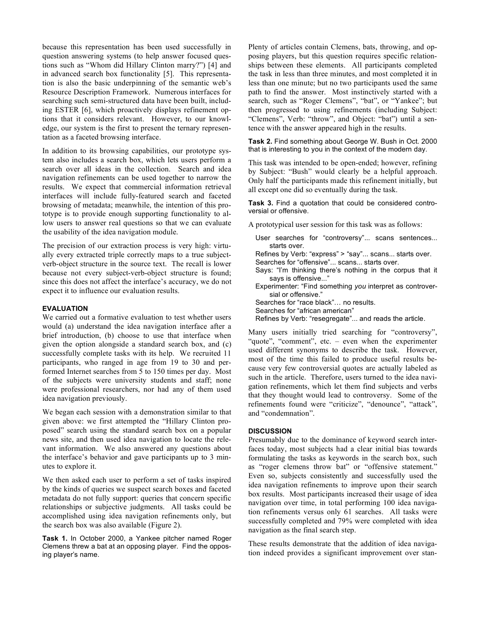because this representation has been used successfully in question answering systems (to help answer focused questions such as "Whom did Hillary Clinton marry?") [4] and in advanced search box functionality [5]. This representation is also the basic underpinning of the semantic web's Resource Description Framework. Numerous interfaces for searching such semi-structured data have been built, including ESTER [6], which proactively displays refinement options that it considers relevant. However, to our knowledge, our system is the first to present the ternary representation as a faceted browsing interface.

In addition to its browsing capabilities, our prototype system also includes a search box, which lets users perform a search over all ideas in the collection. Search and idea navigation refinements can be used together to narrow the results. We expect that commercial information retrieval interfaces will include fully-featured search and faceted browsing of metadata; meanwhile, the intention of this prototype is to provide enough supporting functionality to allow users to answer real questions so that we can evaluate the usability of the idea navigation module.

The precision of our extraction process is very high: virtually every extracted triple correctly maps to a true subjectverb-object structure in the source text. The recall is lower because not every subject-verb-object structure is found; since this does not affect the interface's accuracy, we do not expect it to influence our evaluation results.

#### **EVALUATION**

We carried out a formative evaluation to test whether users would (a) understand the idea navigation interface after a brief introduction, (b) choose to use that interface when given the option alongside a standard search box, and (c) successfully complete tasks with its help. We recruited 11 participants, who ranged in age from 19 to 30 and performed Internet searches from 5 to 150 times per day. Most of the subjects were university students and staff; none were professional researchers, nor had any of them used idea navigation previously.

We began each session with a demonstration similar to that given above: we first attempted the "Hillary Clinton proposed" search using the standard search box on a popular news site, and then used idea navigation to locate the relevant information. We also answered any questions about the interface's behavior and gave participants up to 3 minutes to explore it.

We then asked each user to perform a set of tasks inspired by the kinds of queries we suspect search boxes and faceted metadata do not fully support: queries that concern specific relationships or subjective judgments. All tasks could be accomplished using idea navigation refinements only, but the search box was also available (Figure 2).

**Task 1.** In October 2000, a Yankee pitcher named Roger Clemens threw a bat at an opposing player. Find the opposing player's name.

Plenty of articles contain Clemens, bats, throwing, and opposing players, but this question requires specific relationships between these elements. All participants completed the task in less than three minutes, and most completed it in less than one minute; but no two participants used the same path to find the answer. Most instinctively started with a search, such as "Roger Clemens", "bat", or "Yankee"; but then progressed to using refinements (including Subject: "Clemens", Verb: "throw", and Object: "bat") until a sentence with the answer appeared high in the results.

**Task 2.** Find something about George W. Bush in Oct. 2000 that is interesting to you in the context of the modern day.

This task was intended to be open-ended; however, refining by Subject: "Bush" would clearly be a helpful approach. Only half the participants made this refinement initially, but all except one did so eventually during the task.

**Task 3.** Find a quotation that could be considered controversial or offensive.

A prototypical user session for this task was as follows:

User searches for "controversy"... scans sentences... starts over. Refines by Verb: "express" > "say"... scans... starts over. Searches for "offensive"... scans... starts over. Says: "I'm thinking there's nothing in the corpus that it says is offensive..." Experimenter: "Find something *you* interpret as controversial or offensive." Searches for "race black"… no results. Searches for "african american"

Refines by Verb: "resegregate"... and reads the article.

Many users initially tried searching for "controversy", "quote", "comment", etc. – even when the experimenter used different synonyms to describe the task. However, most of the time this failed to produce useful results because very few controversial quotes are actually labeled as such in the article. Therefore, users turned to the idea navigation refinements, which let them find subjects and verbs that they thought would lead to controversy. Some of the refinements found were "criticize", "denounce", "attack", and "condemnation".

# **DISCUSSION**

Presumably due to the dominance of keyword search interfaces today, most subjects had a clear initial bias towards formulating the tasks as keywords in the search box, such as "roger clemens throw bat" or "offensive statement." Even so, subjects consistently and successfully used the idea navigation refinements to improve upon their search box results. Most participants increased their usage of idea navigation over time, in total performing 100 idea navigation refinements versus only 61 searches. All tasks were successfully completed and 79% were completed with idea navigation as the final search step.

These results demonstrate that the addition of idea navigation indeed provides a significant improvement over stan